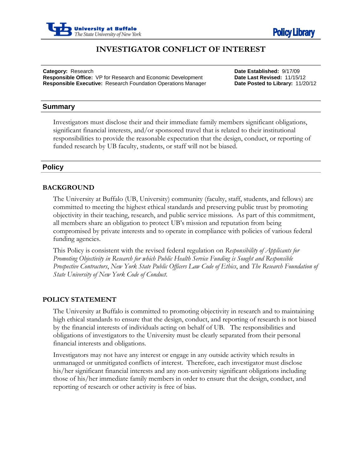



# **INVESTIGATOR CONFLICT OF INTEREST**

j **Category:** Research **Date Established:** 9/17/09 **Responsible Office:** VP for Research and Economic Development **Date Last Revised:** 11/15/12 **Responsible Executive:** Research Foundation Operations Manager **Date Posted to Library:** 11/20/12

### **Summary**

Investigators must disclose their and their immediate family members significant obligations, significant financial interests, and/or sponsored travel that is related to their institutional responsibilities to provide the reasonable expectation that the design, conduct, or reporting of funded research by UB faculty, students, or staff will not be biased.

### **Policy**

### **BACKGROUND**

The University at Buffalo (UB, University) community (faculty, staff, students, and fellows) are committed to meeting the highest ethical standards and preserving public trust by promoting objectivity in their teaching, research, and public service missions. As part of this commitment, all members share an obligation to protect UB's mission and reputation from being compromised by private interests and to operate in compliance with policies of various federal funding agencies.

This Policy is consistent with the revised federal regulation on *Responsibility of Applicants for Promoting Objectivity in Research for which Public Health Service Funding is Sought and Responsible Prospective Contractors*, *New York State Public Officers Law Code of Ethics*, and *The Research Foundation of State University of New York Code of Conduct*.

#### **POLICY STATEMENT**

The University at Buffalo is committed to promoting objectivity in research and to maintaining high ethical standards to ensure that the design, conduct, and reporting of research is not biased by the financial interests of individuals acting on behalf of UB. The responsibilities and obligations of investigators to the University must be clearly separated from their personal financial interests and obligations.

Investigators may not have any interest or engage in any outside activity which results in unmanaged or unmitigated conflicts of interest. Therefore, each investigator must disclose his/her significant financial interests and any non-university significant obligations including those of his/her immediate family members in order to ensure that the design, conduct, and reporting of research or other activity is free of bias.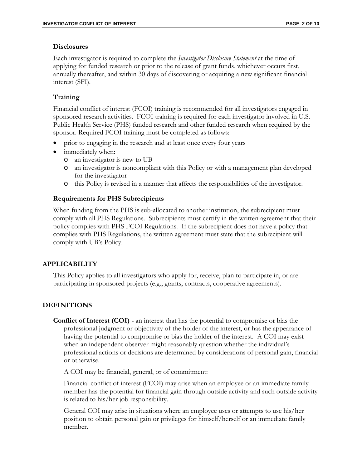#### **Disclosures**

Each investigator is required to complete the *Investigator Disclosure Statement* at the time of applying for funded research or prior to the release of grant funds, whichever occurs first, annually thereafter, and within 30 days of discovering or acquiring a new significant financial interest (SFI).

### **Training**

Financial conflict of interest (FCOI) training is recommended for all investigators engaged in sponsored research activities. FCOI training is required for each investigator involved in U.S. Public Health Service (PHS) funded research and other funded research when required by the sponsor. Required FCOI training must be completed as follows:

- prior to engaging in the research and at least once every four years
- immediately when:
	- o an investigator is new to UB
	- o an investigator is noncompliant with this Policy or with a management plan developed for the investigator
	- o this Policy is revised in a manner that affects the responsibilities of the investigator.

#### **Requirements for PHS Subrecipients**

When funding from the PHS is sub-allocated to another institution, the subrecipient must comply with all PHS Regulations. Subrecipients must certify in the written agreement that their policy complies with PHS FCOI Regulations. If the subrecipient does not have a policy that complies with PHS Regulations, the written agreement must state that the subrecipient will comply with UB's Policy.

#### **APPLICABILITY**

This Policy applies to all investigators who apply for, receive, plan to participate in, or are participating in sponsored projects (e.g., grants, contracts, cooperative agreements).

### **DEFINITIONS**

**Conflict of Interest (COI) -** an interest that has the potential to compromise or bias the professional judgment or objectivity of the holder of the interest, or has the appearance of having the potential to compromise or bias the holder of the interest. A COI may exist when an independent observer might reasonably question whether the individual's professional actions or decisions are determined by considerations of personal gain, financial or otherwise.

A COI may be financial, general, or of commitment:

Financial conflict of interest (FCOI) may arise when an employee or an immediate family member has the potential for financial gain through outside activity and such outside activity is related to his/her job responsibility.

General COI may arise in situations where an employee uses or attempts to use his/her position to obtain personal gain or privileges for himself/herself or an immediate family member.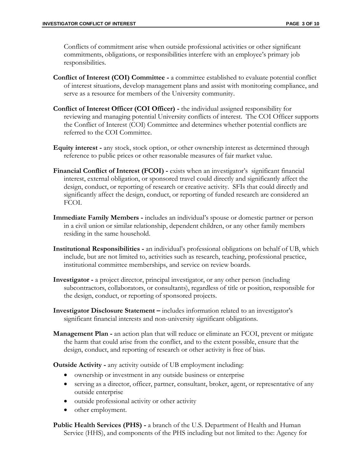Conflicts of commitment arise when outside professional activities or other significant commitments, obligations, or responsibilities interfere with an employee's primary job responsibilities.

- **Conflict of Interest (COI) Committee -** a committee established to evaluate potential conflict of interest situations, develop management plans and assist with monitoring compliance, and serve as a resource for members of the University community.
- **Conflict of Interest Officer (COI Officer) -** the individual assigned responsibility for reviewing and managing potential University conflicts of interest. The COI Officer supports the Conflict of Interest (COI) Committee and determines whether potential conflicts are referred to the COI Committee.
- **Equity interest -** any stock, stock option, or other ownership interest as determined through reference to public prices or other reasonable measures of fair market value.
- **Financial Conflict of Interest (FCOI) -** exists when an investigator's significant financial interest, external obligation, or sponsored travel could directly and significantly affect the design, conduct, or reporting of research or creative activity. SFIs that could directly and significantly affect the design, conduct, or reporting of funded research are considered an FCOI.
- **Immediate Family Members -** includes an individual's spouse or domestic partner or person in a civil union or similar relationship, dependent children, or any other family members residing in the same household.
- **Institutional Responsibilities -** an individual's professional obligations on behalf of UB, which include, but are not limited to, activities such as research, teaching, professional practice, institutional committee memberships, and service on review boards.
- **Investigator -** a project director, principal investigator, or any other person (including subcontractors, collaborators, or consultants), regardless of title or position, responsible for the design, conduct, or reporting of sponsored projects.
- **Investigator Disclosure Statement –** includes information related to an investigator's significant financial interests and non-university significant obligations.
- **Management Plan -** an action plan that will reduce or eliminate an FCOI, prevent or mitigate the harm that could arise from the conflict, and to the extent possible, ensure that the design, conduct, and reporting of research or other activity is free of bias.

**Outside Activity -** any activity outside of UB employment including:

- ownership or investment in any outside business or enterprise
- serving as a director, officer, partner, consultant, broker, agent, or representative of any outside enterprise
- outside professional activity or other activity
- other employment.

**Public Health Services (PHS) -** a branch of the U.S. Department of Health and Human Service (HHS), and components of the PHS including but not limited to the: Agency for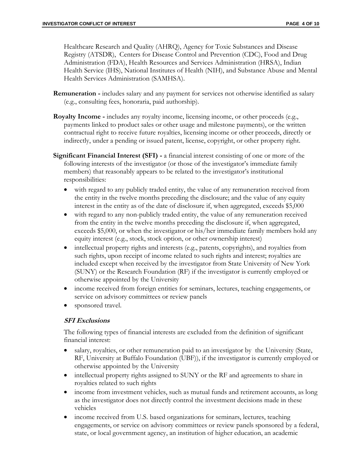Healthcare Research and Quality (AHRQ), Agency for Toxic Substances and Disease Registry (ATSDR), Centers for Disease Control and Prevention (CDC), Food and Drug Administration (FDA), Health Resources and Services Administration (HRSA), Indian Health Service (IHS), National Institutes of Health (NIH), and Substance Abuse and Mental Health Services Administration (SAMHSA).

- **Remuneration -** includes salary and any payment for services not otherwise identified as salary (e.g., consulting fees, honoraria, paid authorship).
- **Royalty Income -** includes any royalty income, licensing income, or other proceeds (e.g., payments linked to product sales or other usage and milestone payments), or the written contractual right to receive future royalties, licensing income or other proceeds, directly or indirectly, under a pending or issued patent, license, copyright, or other property right.
- **Significant Financial Interest (SFI) -** a financial interest consisting of one or more of the following interests of the investigator (or those of the investigator's immediate family members) that reasonably appears to be related to the investigator's institutional responsibilities:
	- with regard to any publicly traded entity, the value of any remuneration received from the entity in the twelve months preceding the disclosure; and the value of any equity interest in the entity as of the date of disclosure if, when aggregated, exceeds \$5,000
	- with regard to any non-publicly traded entity, the value of any remuneration received from the entity in the twelve months preceding the disclosure if, when aggregated, exceeds \$5,000, or when the investigator or his/her immediate family members hold any equity interest (e.g., stock, stock option, or other ownership interest)
	- intellectual property rights and interests (e.g., patents, copyrights), and royalties from such rights, upon receipt of income related to such rights and interest; royalties are included except when received by the investigator from State University of New York (SUNY) or the Research Foundation (RF) if the investigator is currently employed or otherwise appointed by the University
	- income received from foreign entities for seminars, lectures, teaching engagements, or service on advisory committees or review panels
	- sponsored travel.

### **SFI Exclusions**

The following types of financial interests are excluded from the definition of significant financial interest:

- salary, royalties, or other remuneration paid to an investigator by the University (State, RF, University at Buffalo Foundation (UBF)), if the investigator is currently employed or otherwise appointed by the University
- intellectual property rights assigned to SUNY or the RF and agreements to share in royalties related to such rights
- income from investment vehicles, such as mutual funds and retirement accounts, as long as the investigator does not directly control the investment decisions made in these vehicles
- income received from U.S. based organizations for seminars, lectures, teaching engagements, or service on advisory committees or review panels sponsored by a federal, state, or local government agency, an institution of higher education, an academic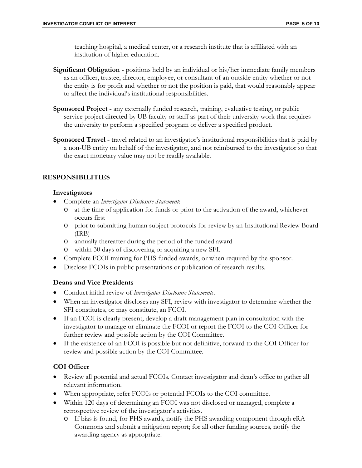teaching hospital, a medical center, or a research institute that is affiliated with an institution of higher education.

- **Significant Obligation -** positions held by an individual or his/her immediate family members as an officer, trustee, director, employee, or consultant of an outside entity whether or not the entity is for profit and whether or not the position is paid, that would reasonably appear to affect the individual's institutional responsibilities.
- **Sponsored Project -** any externally funded research, training, evaluative testing, or public service project directed by UB faculty or staff as part of their university work that requires the university to perform a specified program or deliver a specified product.
- **Sponsored Travel -** travel related to an investigator's institutional responsibilities that is paid by a non-UB entity on behalf of the investigator, and not reimbursed to the investigator so that the exact monetary value may not be readily available.

## **RESPONSIBILITIES**

### **Investigators**

- Complete an *Investigator Disclosure Statement*:
	- o at the time of application for funds or prior to the activation of the award, whichever occurs first
	- o prior to submitting human subject protocols for review by an Institutional Review Board (IRB)
	- o annually thereafter during the period of the funded award
	- o within 30 days of discovering or acquiring a new SFI.
- Complete FCOI training for PHS funded awards, or when required by the sponsor.
- Disclose FCOIs in public presentations or publication of research results.

### **Deans and Vice Presidents**

- Conduct initial review of *Investigator Disclosure Statements.*
- When an investigator discloses any SFI, review with investigator to determine whether the SFI constitutes, or may constitute, an FCOI.
- If an FCOI is clearly present, develop a draft management plan in consultation with the investigator to manage or eliminate the FCOI or report the FCOI to the COI Officer for further review and possible action by the COI Committee.
- If the existence of an FCOI is possible but not definitive, forward to the COI Officer for review and possible action by the COI Committee.

## **COI Officer**

- Review all potential and actual FCOIs. Contact investigator and dean's office to gather all relevant information.
- When appropriate, refer FCOIs or potential FCOIs to the COI committee.
- Within 120 days of determining an FCOI was not disclosed or managed, complete a retrospective review of the investigator's activities.
	- o If bias is found, for PHS awards, notify the PHS awarding component through eRA Commons and submit a mitigation report; for all other funding sources, notify the awarding agency as appropriate.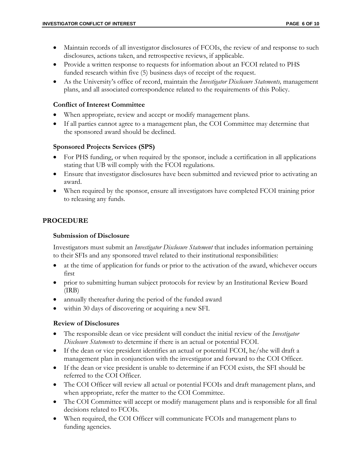- Maintain records of all investigator disclosures of FCOIs, the review of and response to such disclosures, actions taken, and retrospective reviews, if applicable.
- Provide a written response to requests for information about an FCOI related to PHS funded research within five (5) business days of receipt of the request.
- As the University's office of record, maintain the *Investigator Disclosure Statements,* management plans, and all associated correspondence related to the requirements of this Policy.

#### **Conflict of Interest Committee**

- When appropriate, review and accept or modify management plans.
- If all parties cannot agree to a management plan, the COI Committee may determine that the sponsored award should be declined.

### **Sponsored Projects Services (SPS)**

- For PHS funding, or when required by the sponsor, include a certification in all applications stating that UB will comply with the FCOI regulations.
- Ensure that investigator disclosures have been submitted and reviewed prior to activating an award.
- When required by the sponsor, ensure all investigators have completed FCOI training prior to releasing any funds.

## **PROCEDURE**

### **Submission of Disclosure**

Investigators must submit an *Investigator Disclosure Statement* that includes information pertaining to their SFIs and any sponsored travel related to their institutional responsibilities:

- at the time of application for funds or prior to the activation of the award, whichever occurs first
- prior to submitting human subject protocols for review by an Institutional Review Board (IRB)
- annually thereafter during the period of the funded award
- within 30 days of discovering or acquiring a new SFI.

### **Review of Disclosures**

- The responsible dean or vice president will conduct the initial review of the *Investigator Disclosure Statements* to determine if there is an actual or potential FCOI.
- If the dean or vice president identifies an actual or potential FCOI, he/she will draft a management plan in conjunction with the investigator and forward to the COI Officer.
- If the dean or vice president is unable to determine if an FCOI exists, the SFI should be referred to the COI Officer.
- The COI Officer will review all actual or potential FCOIs and draft management plans, and when appropriate, refer the matter to the COI Committee.
- The COI Committee will accept or modify management plans and is responsible for all final decisions related to FCOIs.
- When required, the COI Officer will communicate FCOIs and management plans to funding agencies.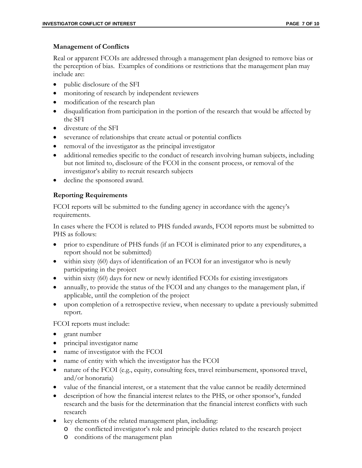#### **Management of Conflicts**

Real or apparent FCOIs are addressed through a management plan designed to remove bias or the perception of bias. Examples of conditions or restrictions that the management plan may include are:

- public disclosure of the SFI
- monitoring of research by independent reviewers
- modification of the research plan
- disqualification from participation in the portion of the research that would be affected by the SFI
- divesture of the SFI
- severance of relationships that create actual or potential conflicts
- removal of the investigator as the principal investigator
- additional remedies specific to the conduct of research involving human subjects, including but not limited to, disclosure of the FCOI in the consent process, or removal of the investigator's ability to recruit research subjects
- decline the sponsored award.

## **Reporting Requirements**

FCOI reports will be submitted to the funding agency in accordance with the agency's requirements.

In cases where the FCOI is related to PHS funded awards, FCOI reports must be submitted to PHS as follows:

- prior to expenditure of PHS funds (if an FCOI is eliminated prior to any expenditures, a report should not be submitted)
- within sixty (60) days of identification of an FCOI for an investigator who is newly participating in the project
- within sixty (60) days for new or newly identified FCOIs for existing investigators
- annually, to provide the status of the FCOI and any changes to the management plan, if applicable, until the completion of the project
- upon completion of a retrospective review, when necessary to update a previously submitted report.

FCOI reports must include:

- grant number
- principal investigator name
- name of investigator with the FCOI
- name of entity with which the investigator has the FCOI
- nature of the FCOI (e.g., equity, consulting fees, travel reimbursement, sponsored travel, and/or honoraria)
- value of the financial interest, or a statement that the value cannot be readily determined
- description of how the financial interest relates to the PHS, or other sponsor's, funded research and the basis for the determination that the financial interest conflicts with such research
- key elements of the related management plan, including:
	- o the conflicted investigator's role and principle duties related to the research project
	- o conditions of the management plan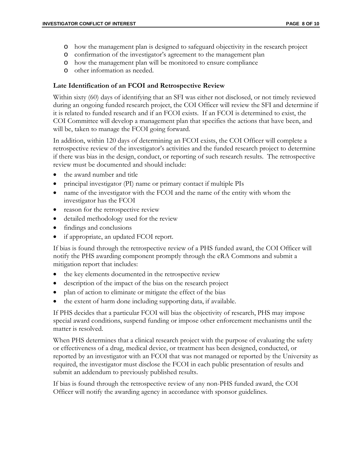- o how the management plan is designed to safeguard objectivity in the research project
- o confirmation of the investigator's agreement to the management plan
- o how the management plan will be monitored to ensure compliance
- o other information as needed.

### **Late Identification of an FCOI and Retrospective Review**

Within sixty (60) days of identifying that an SFI was either not disclosed, or not timely reviewed during an ongoing funded research project, the COI Officer will review the SFI and determine if it is related to funded research and if an FCOI exists. If an FCOI is determined to exist, the COI Committee will develop a management plan that specifies the actions that have been, and will be, taken to manage the FCOI going forward.

In addition, within 120 days of determining an FCOI exists, the COI Officer will complete a retrospective review of the investigator's activities and the funded research project to determine if there was bias in the design, conduct, or reporting of such research results. The retrospective review must be documented and should include:

- the award number and title
- principal investigator (PI) name or primary contact if multiple PIs
- name of the investigator with the FCOI and the name of the entity with whom the investigator has the FCOI
- reason for the retrospective review
- detailed methodology used for the review
- findings and conclusions
- if appropriate, an updated FCOI report.

If bias is found through the retrospective review of a PHS funded award, the COI Officer will notify the PHS awarding component promptly through the eRA Commons and submit a mitigation report that includes:

- the key elements documented in the retrospective review
- description of the impact of the bias on the research project
- plan of action to eliminate or mitigate the effect of the bias
- the extent of harm done including supporting data, if available.

If PHS decides that a particular FCOI will bias the objectivity of research, PHS may impose special award conditions, suspend funding or impose other enforcement mechanisms until the matter is resolved.

When PHS determines that a clinical research project with the purpose of evaluating the safety or effectiveness of a drug, medical device, or treatment has been designed, conducted, or reported by an investigator with an FCOI that was not managed or reported by the University as required, the investigator must disclose the FCOI in each public presentation of results and submit an addendum to previously published results.

If bias is found through the retrospective review of any non-PHS funded award, the COI Officer will notify the awarding agency in accordance with sponsor guidelines.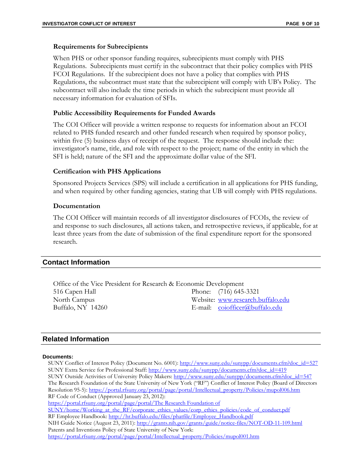#### **Requirements for Subrecipients**

When PHS or other sponsor funding requires, subrecipients must comply with PHS Regulations. Subrecipients must certify in the subcontract that their policy complies with PHS FCOI Regulations. If the subrecipient does not have a policy that complies with PHS Regulations, the subcontract must state that the subrecipient will comply with UB's Policy. The subcontract will also include the time periods in which the subrecipient must provide all necessary information for evaluation of SFIs.

### **Public Accessibility Requirements for Funded Awards**

The COI Officer will provide a written response to requests for information about an FCOI related to PHS funded research and other funded research when required by sponsor policy, within five (5) business days of receipt of the request. The response should include the: investigator's name, title, and role with respect to the project; name of the entity in which the SFI is held; nature of the SFI and the approximate dollar value of the SFI.

### **Certification with PHS Applications**

Sponsored Projects Services (SPS) will include a certification in all applications for PHS funding, and when required by other funding agencies, stating that UB will comply with PHS regulations.

### **Documentation**

The COI Officer will maintain records of all investigator disclosures of FCOIs, the review of and response to such disclosures, all actions taken, and retrospective reviews, if applicable, for at least three years from the date of submission of the final expenditure report for the sponsored research.

### **Contact Information**

| Office of the Vice President for Research & Economic Development |  |                                                  |
|------------------------------------------------------------------|--|--------------------------------------------------|
| 516 Capen Hall                                                   |  | Phone: (716) 645-3321                            |
| North Campus                                                     |  | Website: www.research.buffalo.edu                |
| Buffalo, NY 14260                                                |  | E-mail: $\text{coiofficer}(\hat{a})$ buffalo.edu |

### **Related Information**

#### **Documents:**

SUNY Conflict of Interest Policy (Document No. 6001): [http://www.suny.edu/sunypp/documents.cfm?doc\\_id=527](http://www.suny.edu/sunypp/documents.cfm?doc_id=527) SUNY Extra Service for Professional Staff: [http://www.suny.edu/sunypp/documents.cfm?doc\\_id=419](http://www.suny.edu/sunypp/documents.cfm?doc_id=419) SUNY Outside Activities of University Policy Makers: [http://www.suny.edu/sunypp/documents.cfm?doc\\_id=547](http://www.suny.edu/sunypp/documents.cfm?doc_id=547) The Research Foundation of the State University of New York ("RF") Conflict of Interest Policy (Board of Directors Resolution 95-5): [https://portal.rfsuny.org/portal/page/portal/Intellectual\\_property/Policies/mupol006.htm](https://portal.rfsuny.org/portal/page/portal/Intellectual_property/Policies/mupol006.htm) RF Code of Conduct (Approved January 23, 2012): [https://portal.rfsuny.org/portal/page/portal/The Research Foundation of](https://portal.rfsuny.org/portal/page/portal/The%20Research%20Foundation%20of%20SUNY/home/Working_at_the_RF/corporate_ethics_values/corp_ethics_policies/code_of_conduct.pdf)  [SUNY/home/Working\\_at\\_the\\_RF/corporate\\_ethics\\_values/corp\\_ethics\\_policies/code\\_of\\_conduct.pdf](https://portal.rfsuny.org/portal/page/portal/The%20Research%20Foundation%20of%20SUNY/home/Working_at_the_RF/corporate_ethics_values/corp_ethics_policies/code_of_conduct.pdf) RF Employee Handbook: [http://hr.buffalo.edu/files/phatfile/Employee\\_Handbook.pdf](http://hr.buffalo.edu/files/phatfile/Employee_Handbook.pdf) NIH Guide Notice (August 23, 2011):<http://grants.nih.gov/grants/guide/notice-files/NOT-OD-11-109.html> Patents and Inventions Policy of State University of New York: [https://portal.rfsuny.org/portal/page/portal/Intellectual\\_property/Policies/mupol001.htm](https://portal.rfsuny.org/portal/page/portal/Intellectual_property/Policies/mupol001.htm)